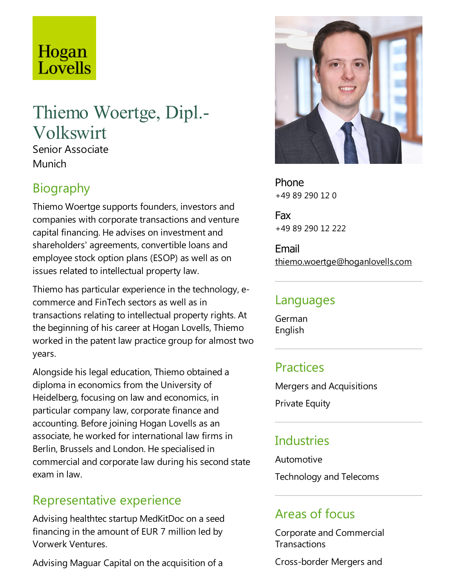# Hogan Lovells

## Thiemo Woertge, Dipl.- Volkswirt

Senior Associate **Munich** 

#### Biography

Thiemo Woertge supports founders, investors and companies with corporate transactions and venture capital financing. He advises on investment and shareholders' agreements, convertible loans and employee stock option plans (ESOP) as well as on issues related to intellectual property law.

Thiemo has particular experience in the technology, ecommerce and FinTech sectors as well as in transactions relating to intellectual property rights. At the beginning of his career at Hogan Lovells, Thiemo worked in the patent law practice group for almost two years.

Alongside his legal education, Thiemo obtained a diploma in economics from the University of Heidelberg, focusing on law and economics, in particular company law, corporate finance and accounting. Before joining Hogan Lovells as an associate, he worked for international law firms in Berlin, Brussels and London. He specialised in commercial and corporate law during his second state exam in law.

#### Representative experience

Advising healthtec startup MedKitDoc on a seed financing in the amount of EUR 7 million led by Vorwerk Ventures.

Advising Maguar Capital on the acquisition of a



Phone +49 89 290 12 0

Fax +49 89 290 12 222

Email thiemo.woertge@hoganlovells.com

#### Languages

German English

### Practices

Mergers and Acquisitions

**Private Equity** 

#### **Industries**

Automotive Technology and Telecoms

#### Areas of focus

Corporate and Commercial **Transactions** 

Cross-border Mergers and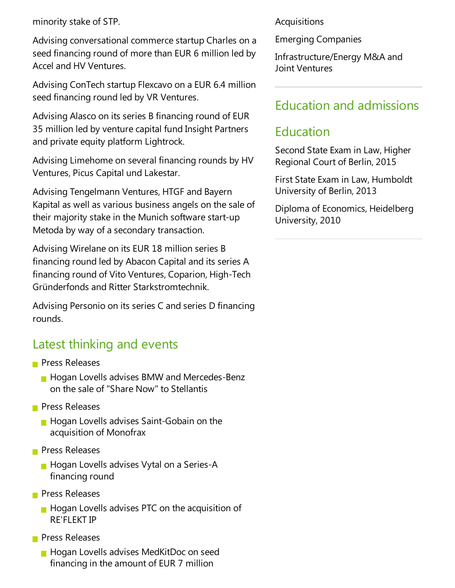minority stake of STP.

Advising conversational commerce startup Charles on a seed financing round of more than EUR 6 million led by Accel and HV Ventures.

Advising ConTech startup Flexcavo on a EUR 6.4 million seed financing round led by VR Ventures.

Advising Alasco on its series B financing round of EUR 35 million led by venture capital fund Insight Partners and private equity platform Lightrock.

Advising Limehome on several financing rounds by HV Ventures, Picus Capital und Lakestar.

Advising Tengelmann Ventures, HTGF and Bayern Kapital as well as various business angels on the sale of their majority stake in the Munich software start-up Metoda by way of a secondary transaction.

Advising Wirelane on its EUR 18 million series B financing round led by Abacon Capital and its series A financing round of Vito Ventures, Coparion, High-Tech Gründerfonds and Ritter Starkstromtechnik.

Advising Personio on its series C and series D financing rounds.

#### Latest thinking and events

- **Press Releases** 
	- **Hogan Lovells advises BMW and Mercedes-Benz** on the sale of "Share Now" to Stellantis
- **Press Releases** 
	- **Hogan Lovells advises Saint-Gobain on the** acquisition of Monofrax
- **Press Releases** 
	- **Hogan Lovells advises Vytal on a Series-A** financing round
- **Press Releases** 
	- $\blacksquare$  Hogan Lovells advises PTC on the acquisition of RE'FLEKTIP
- **Press Releases** 
	- **Hogan Lovells advises MedKitDoc on seed** financing in the amount of EUR 7 million

Acquisitions

Emerging Companies

Infrastructure/Energy M&A and Joint Ventures

#### Education and admissions

#### Education

Second State Exam in Law, Higher Regional Court of Berlin, 2015

First State Exam in Law, Humboldt University of Berlin, 2013

Diploma of Economics, Heidelberg University, 2010